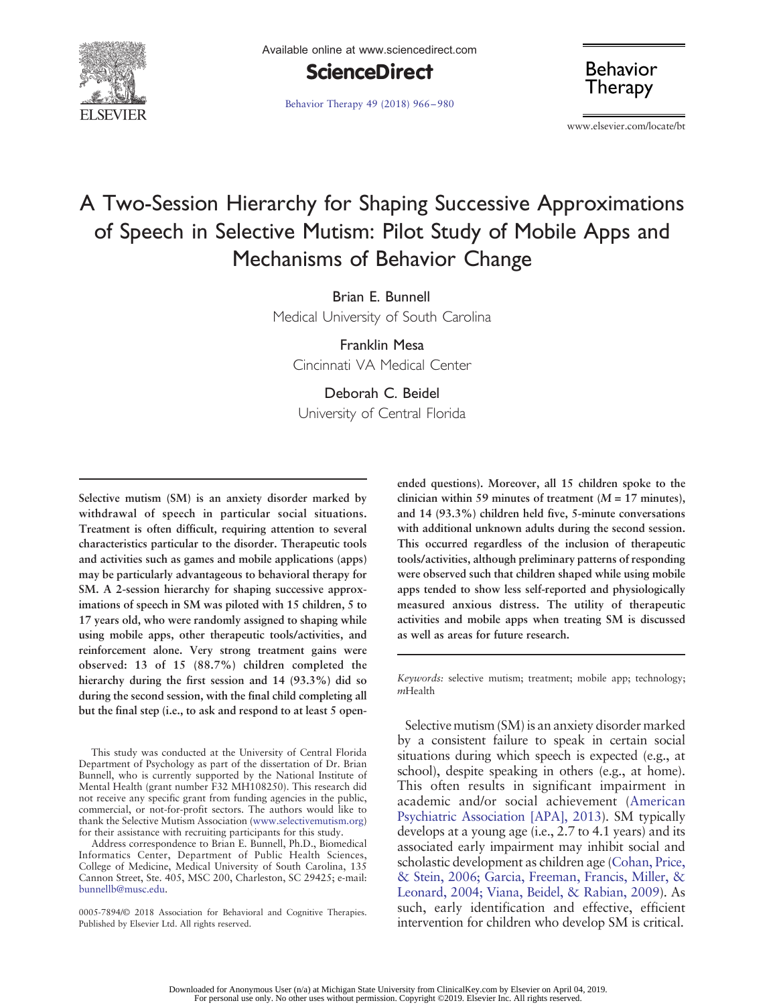

Available online at www.sciencedirect.com



[Behavior Therapy 49 \(2018\) 966](https://doi.org/)–980

**Behavior** Therapy

www.elsevier.com/locate/bt

# A Two-Session Hierarchy for Shaping Successive Approximations of Speech in Selective Mutism: Pilot Study of Mobile Apps and Mechanisms of Behavior Change

Brian E. Bunnell

Medical University of South Carolina

Franklin Mesa Cincinnati VA Medical Center

Deborah C. Beidel University of Central Florida

Selective mutism (SM) is an anxiety disorder marked by withdrawal of speech in particular social situations. Treatment is often difficult, requiring attention to several characteristics particular to the disorder. Therapeutic tools and activities such as games and mobile applications (apps) may be particularly advantageous to behavioral therapy for SM. A 2-session hierarchy for shaping successive approximations of speech in SM was piloted with 15 children, 5 to 17 years old, who were randomly assigned to shaping while using mobile apps, other therapeutic tools/activities, and reinforcement alone. Very strong treatment gains were observed: 13 of 15 (88.7%) children completed the hierarchy during the first session and 14 (93.3%) did so during the second session, with the final child completing all but the final step (i.e., to ask and respond to at least 5 open-

This study was conducted at the University of Central Florida Department of Psychology as part of the dissertation of Dr. Brian Bunnell, who is currently supported by the National Institute of Mental Health (grant number F32 MH108250). This research did not receive any specific grant from funding agencies in the public, commercial, or not-for-profit sectors. The authors would like to thank the Selective Mutism Association [\(www.selectivemutism.org\)](http://www.selectivemutism.org) for their assistance with recruiting participants for this study.

Address correspondence to Brian E. Bunnell, Ph.D., Biomedical Informatics Center, Department of Public Health Sciences, College of Medicine, Medical University of South Carolina, 135 Cannon Street, Ste. 405, MSC 200, Charleston, SC 29425; e-mail: bunnellb@musc.edu.

0005-7894/© 2018 Association for Behavioral and Cognitive Therapies. Published by Elsevier Ltd. All rights reserved.

ended questions). Moreover, all 15 children spoke to the clinician within 59 minutes of treatment  $(M = 17 \text{ minutes})$ , and 14 (93.3%) children held five, 5-minute conversations with additional unknown adults during the second session. This occurred regardless of the inclusion of therapeutic tools/activities, although preliminary patterns of responding were observed such that children shaped while using mobile apps tended to show less self-reported and physiologically measured anxious distress. The utility of therapeutic activities and mobile apps when treating SM is discussed as well as areas for future research.

Keywords: selective mutism; treatment; mobile app; technology; mHealth

Selective mutism (SM) is an anxiety disorder marked by a consistent failure to speak in certain social situations during which speech is expected (e.g., at school), despite speaking in others (e.g., at home). This often results in significant impairment in academic and/or social achievement ([American](#page-13-0) [Psychiatric Association \[APA\], 2013](#page-13-0)). SM typically develops at a young age (i.e., 2.7 to 4.1 years) and its associated early impairment may inhibit social and scholastic development as children age [\(Cohan, Price,](#page-13-0) [& Stein, 2006; Garcia, Freeman, Francis, Miller, &](#page-13-0) [Leonard, 2004; Viana, Beidel, & Rabian, 2009\)](#page-13-0). As such, early identification and effective, efficient intervention for children who develop SM is critical.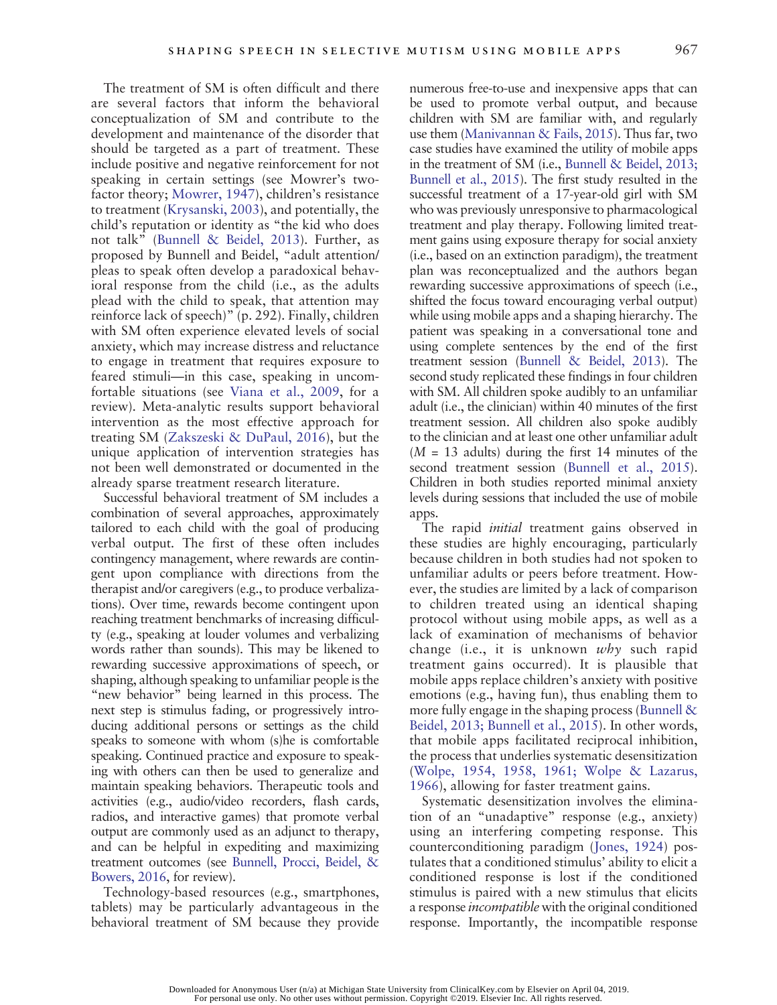The treatment of SM is often difficult and there are several factors that inform the behavioral conceptualization of SM and contribute to the development and maintenance of the disorder that should be targeted as a part of treatment. These include positive and negative reinforcement for not speaking in certain settings (see Mowrer's twofactor theory; [Mowrer, 1947\)](#page-14-0), children's resistance to treatment ([Krysanski, 2003\)](#page-14-0), and potentially, the child's reputation or identity as "the kid who does not talk" ([Bunnell & Beidel, 2013](#page-13-0)). Further, as proposed by Bunnell and Beidel, "adult attention/ pleas to speak often develop a paradoxical behavioral response from the child (i.e., as the adults plead with the child to speak, that attention may reinforce lack of speech)" (p. 292). Finally, children with SM often experience elevated levels of social anxiety, which may increase distress and reluctance to engage in treatment that requires exposure to feared stimuli—in this case, speaking in uncomfortable situations (see [Viana et al., 2009,](#page-14-0) for a review). Meta-analytic results support behavioral intervention as the most effective approach for treating SM [\(Zakszeski & DuPaul, 2016\)](#page-14-0), but the unique application of intervention strategies has not been well demonstrated or documented in the already sparse treatment research literature.

Successful behavioral treatment of SM includes a combination of several approaches, approximately tailored to each child with the goal of producing verbal output. The first of these often includes contingency management, where rewards are contingent upon compliance with directions from the therapist and/or caregivers (e.g., to produce verbalizations). Over time, rewards become contingent upon reaching treatment benchmarks of increasing difficulty (e.g., speaking at louder volumes and verbalizing words rather than sounds). This may be likened to rewarding successive approximations of speech, or shaping, although speaking to unfamiliar people is the "new behavior" being learned in this process. The next step is stimulus fading, or progressively introducing additional persons or settings as the child speaks to someone with whom (s)he is comfortable speaking. Continued practice and exposure to speaking with others can then be used to generalize and maintain speaking behaviors. Therapeutic tools and activities (e.g., audio/video recorders, flash cards, radios, and interactive games) that promote verbal output are commonly used as an adjunct to therapy, and can be helpful in expediting and maximizing treatment outcomes (see [Bunnell, Procci, Beidel, &](#page-13-0) [Bowers, 2016](#page-13-0), for review).

Technology-based resources (e.g., smartphones, tablets) may be particularly advantageous in the behavioral treatment of SM because they provide numerous free-to-use and inexpensive apps that can be used to promote verbal output, and because children with SM are familiar with, and regularly use them [\(Manivannan & Fails, 2015](#page-14-0)). Thus far, two case studies have examined the utility of mobile apps in the treatment of SM (i.e., [Bunnell & Beidel, 2013;](#page-13-0) [Bunnell et al., 2015\)](#page-13-0). The first study resulted in the successful treatment of a 17-year-old girl with SM who was previously unresponsive to pharmacological treatment and play therapy. Following limited treatment gains using exposure therapy for social anxiety (i.e., based on an extinction paradigm), the treatment plan was reconceptualized and the authors began rewarding successive approximations of speech (i.e., shifted the focus toward encouraging verbal output) while using mobile apps and a shaping hierarchy. The patient was speaking in a conversational tone and using complete sentences by the end of the first treatment session [\(Bunnell & Beidel, 2013](#page-13-0)). The second study replicated these findings in four children with SM. All children spoke audibly to an unfamiliar adult (i.e., the clinician) within 40 minutes of the first treatment session. All children also spoke audibly to the clinician and at least one other unfamiliar adult  $(M = 13$  adults) during the first 14 minutes of the second treatment session ([Bunnell et al., 2015\)](#page-13-0). Children in both studies reported minimal anxiety levels during sessions that included the use of mobile apps.

The rapid *initial* treatment gains observed in these studies are highly encouraging, particularly because children in both studies had not spoken to unfamiliar adults or peers before treatment. However, the studies are limited by a lack of comparison to children treated using an identical shaping protocol without using mobile apps, as well as a lack of examination of mechanisms of behavior change (i.e., it is unknown  $why$  such rapid treatment gains occurred). It is plausible that mobile apps replace children's anxiety with positive emotions (e.g., having fun), thus enabling them to more fully engage in the shaping process (Bunnell  $\&$ [Beidel, 2013; Bunnell et al., 2015\)](#page-13-0). In other words, that mobile apps facilitated reciprocal inhibition, the process that underlies systematic desensitization [\(Wolpe, 1954, 1958, 1961; Wolpe & Lazarus,](#page-14-0) [1966\)](#page-14-0), allowing for faster treatment gains.

Systematic desensitization involves the elimination of an "unadaptive" response (e.g., anxiety) using an interfering competing response. This counterconditioning paradigm [\(Jones, 1924\)](#page-14-0) postulates that a conditioned stimulus' ability to elicit a conditioned response is lost if the conditioned stimulus is paired with a new stimulus that elicits a response incompatible with the original conditioned response. Importantly, the incompatible response

Downloaded for Anonymous User (n/a) at Michigan State University from ClinicalKey.com by Elsevier on April 04, 2019. For personal use only. No other uses without permission. Copyright ©2019. Elsevier Inc. All rights reserved.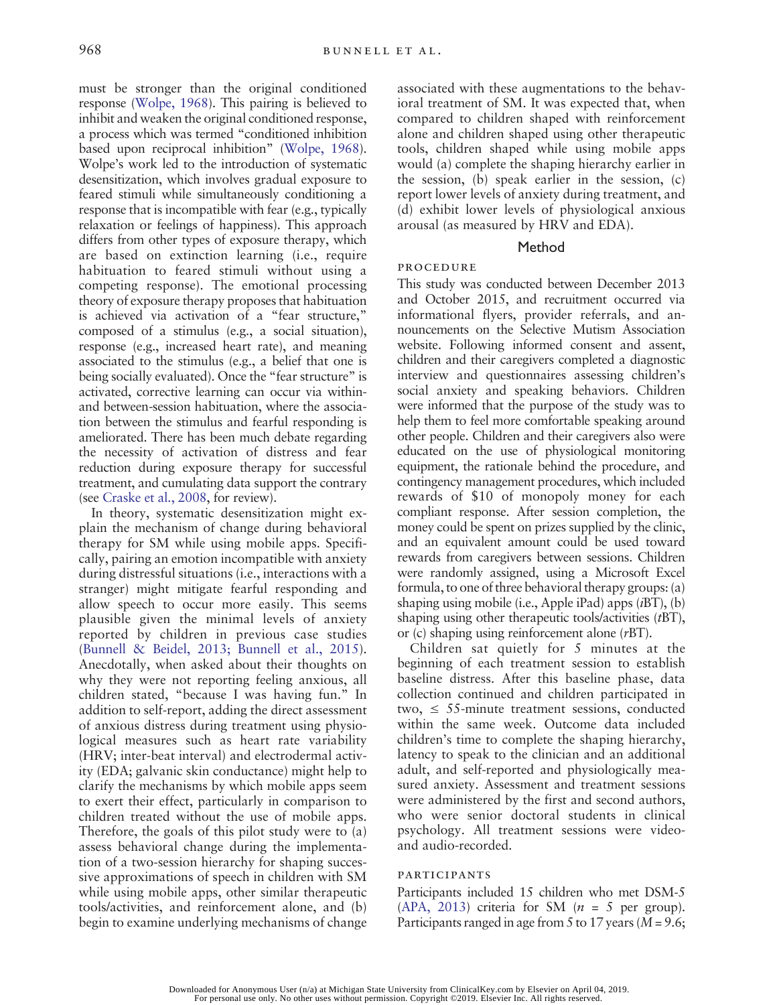must be stronger than the original conditioned response [\(Wolpe, 1968](#page-14-0)). This pairing is believed to inhibit and weaken the original conditioned response, a process which was termed "conditioned inhibition based upon reciprocal inhibition" [\(Wolpe, 1968](#page-14-0)). Wolpe's work led to the introduction of systematic desensitization, which involves gradual exposure to feared stimuli while simultaneously conditioning a response that is incompatible with fear (e.g., typically relaxation or feelings of happiness). This approach differs from other types of exposure therapy, which are based on extinction learning (i.e., require habituation to feared stimuli without using a competing response). The emotional processing theory of exposure therapy proposes that habituation is achieved via activation of a "fear structure," composed of a stimulus (e.g., a social situation), response (e.g., increased heart rate), and meaning associated to the stimulus (e.g., a belief that one is being socially evaluated). Once the "fear structure" is activated, corrective learning can occur via withinand between-session habituation, where the association between the stimulus and fearful responding is ameliorated. There has been much debate regarding the necessity of activation of distress and fear reduction during exposure therapy for successful treatment, and cumulating data support the contrary (see [Craske et al., 2008,](#page-13-0) for review).

In theory, systematic desensitization might explain the mechanism of change during behavioral therapy for SM while using mobile apps. Specifically, pairing an emotion incompatible with anxiety during distressful situations (i.e., interactions with a stranger) might mitigate fearful responding and allow speech to occur more easily. This seems plausible given the minimal levels of anxiety reported by children in previous case studies [\(Bunnell & Beidel, 2013; Bunnell et al., 2015](#page-13-0)). Anecdotally, when asked about their thoughts on why they were not reporting feeling anxious, all children stated, "because I was having fun." In addition to self-report, adding the direct assessment of anxious distress during treatment using physiological measures such as heart rate variability (HRV; inter-beat interval) and electrodermal activity (EDA; galvanic skin conductance) might help to clarify the mechanisms by which mobile apps seem to exert their effect, particularly in comparison to children treated without the use of mobile apps. Therefore, the goals of this pilot study were to (a) assess behavioral change during the implementation of a two-session hierarchy for shaping successive approximations of speech in children with SM while using mobile apps, other similar therapeutic tools/activities, and reinforcement alone, and (b) begin to examine underlying mechanisms of change associated with these augmentations to the behavioral treatment of SM. It was expected that, when compared to children shaped with reinforcement alone and children shaped using other therapeutic tools, children shaped while using mobile apps would (a) complete the shaping hierarchy earlier in the session, (b) speak earlier in the session, (c) report lower levels of anxiety during treatment, and (d) exhibit lower levels of physiological anxious arousal (as measured by HRV and EDA).

# Method

# procedure

This study was conducted between December 2013 and October 2015, and recruitment occurred via informational flyers, provider referrals, and announcements on the Selective Mutism Association website. Following informed consent and assent, children and their caregivers completed a diagnostic interview and questionnaires assessing children's social anxiety and speaking behaviors. Children were informed that the purpose of the study was to help them to feel more comfortable speaking around other people. Children and their caregivers also were educated on the use of physiological monitoring equipment, the rationale behind the procedure, and contingency management procedures, which included rewards of \$10 of monopoly money for each compliant response. After session completion, the money could be spent on prizes supplied by the clinic, and an equivalent amount could be used toward rewards from caregivers between sessions. Children were randomly assigned, using a Microsoft Excel formula, to one of three behavioral therapy groups: (a) shaping using mobile (i.e., Apple iPad) apps  $(iBT)$ , (b) shaping using other therapeutic tools/activities (tBT), or (c) shaping using reinforcement alone (rBT).

Children sat quietly for 5 minutes at the beginning of each treatment session to establish baseline distress. After this baseline phase, data collection continued and children participated in two,  $\leq$  55-minute treatment sessions, conducted within the same week. Outcome data included children's time to complete the shaping hierarchy, latency to speak to the clinician and an additional adult, and self-reported and physiologically measured anxiety. Assessment and treatment sessions were administered by the first and second authors, who were senior doctoral students in clinical psychology. All treatment sessions were videoand audio-recorded.

# participants

Participants included 15 children who met DSM-5 [\(APA, 2013](#page-13-0)) criteria for SM  $(n = 5$  per group). Participants ranged in age from 5 to 17 years ( $M = 9.6$ ;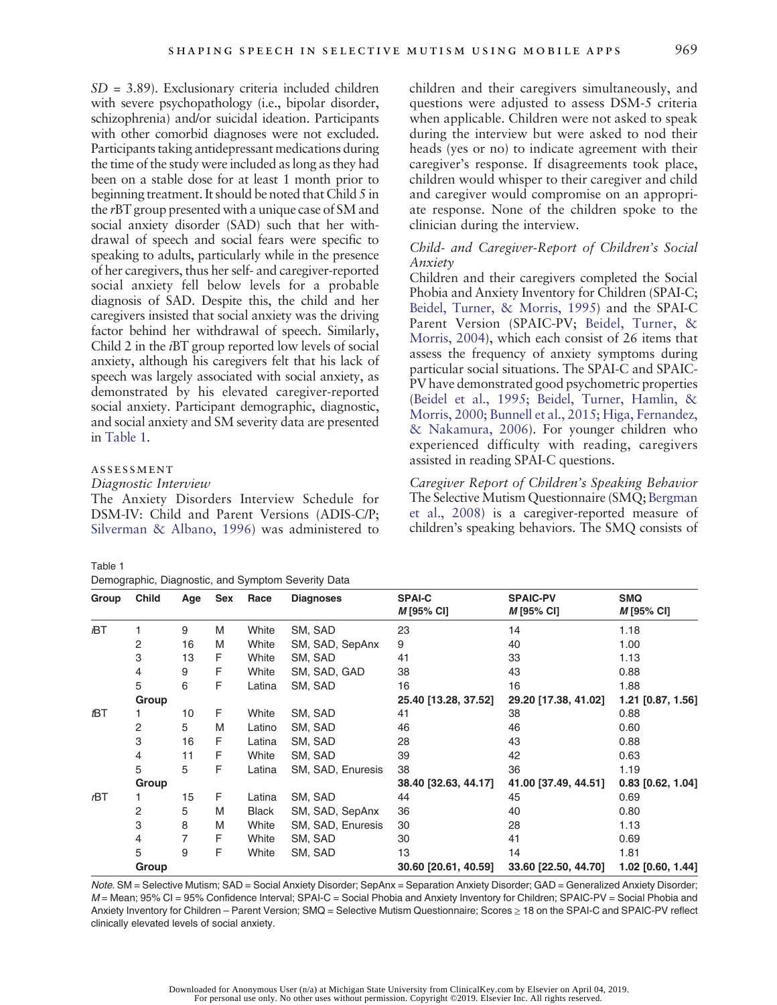SD = 3.89). Exclusionary criteria included children with severe psychopathology (i.e., bipolar disorder, schizophrenia) and/or suicidal ideation. Participants with other comorbid diagnoses were not excluded. Participants taking antidepressant medications during the time of the study were included as long as they had been on a stable dose for at least 1 month prior to beginning treatment. It should be noted that Child 5 in the rBT group presented with a unique case of SM and social anxiety disorder (SAD) such that her withdrawal of speech and social fears were specific to speaking to adults, particularly while in the presence of her caregivers, thus her self- and caregiver-reported social anxiety fell below levels for a probable diagnosis of SAD. Despite this, the child and her caregivers insisted that social anxiety was the driving factor behind her withdrawal of speech. Similarly, Child 2 in the iBT group reported low levels of social anxiety, although his caregivers felt that his lack of speech was largely associated with social anxiety, as demonstrated by his elevated caregiver-reported social anxiety. Participant demographic, diagnostic, and social anxiety and SM severity data are presented in Table 1.

# **ASSESSMENT**

#### Diagnostic Interview

The Anxiety Disorders Interview Schedule for DSM-IV: Child and Parent Versions (ADIS-C/P; [Silverman & Albano, 1996](#page-14-0)) was administered to

Table 1 Demographic, Diagnostic, and Symptom Severity Data

children and their caregivers simultaneously, and questions were adjusted to assess DSM-5 criteria when applicable. Children were not asked to speak during the interview but were asked to nod their heads (yes or no) to indicate agreement with their caregiver's response. If disagreements took place, children would whisper to their caregiver and child and caregiver would compromise on an appropriate response. None of the children spoke to the clinician during the interview.

# Child- and Caregiver-Report of Children's Social Anxiety

Children and their caregivers completed the Social Phobia and Anxiety Inventory for Children (SPAI-C; [Beidel, Turner, & Morris, 1995](#page-13-0)) and the SPAI-C Parent Version (SPAIC-PV; [Beidel, Turner, &](#page-13-0) [Morris, 2004](#page-13-0)), which each consist of 26 items that assess the frequency of anxiety symptoms during particular social situations. The SPAI-C and SPAIC-PV have demonstrated good psychometric properties [\(Beidel et al., 1995; Beidel, Turner, Hamlin, &](#page-13-0) [Morris, 2000; Bunnell et al., 2015; Higa, Fernandez,](#page-13-0) [& Nakamura, 2006](#page-13-0)). For younger children who experienced difficulty with reading, caregivers assisted in reading SPAI-C questions.

Caregiver Report of Children's Speaking Behavior The Selective Mutism Questionnaire (SMQ; [Bergman](#page-13-0) [et al., 2008\)](#page-13-0) is a caregiver-reported measure of children's speaking behaviors. The SMQ consists of

| Group            | <b>Child</b> | Age | Sex | Race         | <b>Diagnoses</b>  | <b>SPAI-C</b><br>M [95% CI] | <b>SPAIC-PV</b><br>M [95% CI] | <b>SMQ</b><br>M [95% CI] |
|------------------|--------------|-----|-----|--------------|-------------------|-----------------------------|-------------------------------|--------------------------|
| <b>BT</b>        |              | 9   | M   | White        | SM, SAD           | 23                          | 14                            | 1.18                     |
|                  | 2            | 16  | M   | White        | SM, SAD, SepAnx   | 9                           | 40                            | 1.00                     |
|                  | 3            | 13  | F   | White        | SM, SAD           | 41                          | 33                            | 1.13                     |
|                  | 4            | 9   | F   | White        | SM, SAD, GAD      | 38                          | 43                            | 0.88                     |
|                  | 5            | 6   | F   | Latina       | SM, SAD           | 16                          | 16                            | 1.88                     |
|                  | Group        |     |     |              |                   | 25.40 [13.28, 37.52]        | 29.20 [17.38, 41.02]          | 1.21 [0.87, 1.56]        |
| t <sub>B</sub> T |              | 10  | F   | White        | SM, SAD           | 41                          | 38                            | 0.88                     |
|                  | 2            | 5   | M   | Latino       | SM, SAD           | 46                          | 46                            | 0.60                     |
|                  | 3            | 16  | F   | Latina       | SM, SAD           | 28                          | 43                            | 0.88                     |
|                  | 4            | 11  | F   | White        | SM, SAD           | 39                          | 42                            | 0.63                     |
|                  | 5            | 5   | F   | Latina       | SM, SAD, Enuresis | 38                          | 36                            | 1.19                     |
|                  | Group        |     |     |              |                   | 38.40 [32.63, 44.17]        | 41.00 [37.49, 44.51]          | $0.83$ [0.62, 1.04]      |
| rBT              |              | 15  | F   | Latina       | SM, SAD           | 44                          | 45                            | 0.69                     |
|                  | 2            | 5   | M   | <b>Black</b> | SM, SAD, SepAnx   | 36                          | 40                            | 0.80                     |
|                  | 3            | 8   | M   | White        | SM, SAD, Enuresis | 30                          | 28                            | 1.13                     |
|                  | 4            |     | F   | White        | SM, SAD           | 30                          | 41                            | 0.69                     |
|                  | 5            | 9   | F   | White        | SM, SAD           | 13                          | 14                            | 1.81                     |
|                  | Group        |     |     |              |                   | 30.60 [20.61, 40.59]        | 33.60 [22.50, 44.70]          | 1.02 [0.60, 1.44]        |

Note. SM = Selective Mutism; SAD = Social Anxiety Disorder; SepAnx = Separation Anxiety Disorder; GAD = Generalized Anxiety Disorder; M = Mean; 95% CI = 95% Confidence Interval; SPAI-C = Social Phobia and Anxiety Inventory for Children; SPAIC-PV = Social Phobia and Anxiety Inventory for Children – Parent Version; SMQ = Selective Mutism Questionnaire; Scores ≥ 18 on the SPAI-C and SPAIC-PV reflect clinically elevated levels of social anxiety.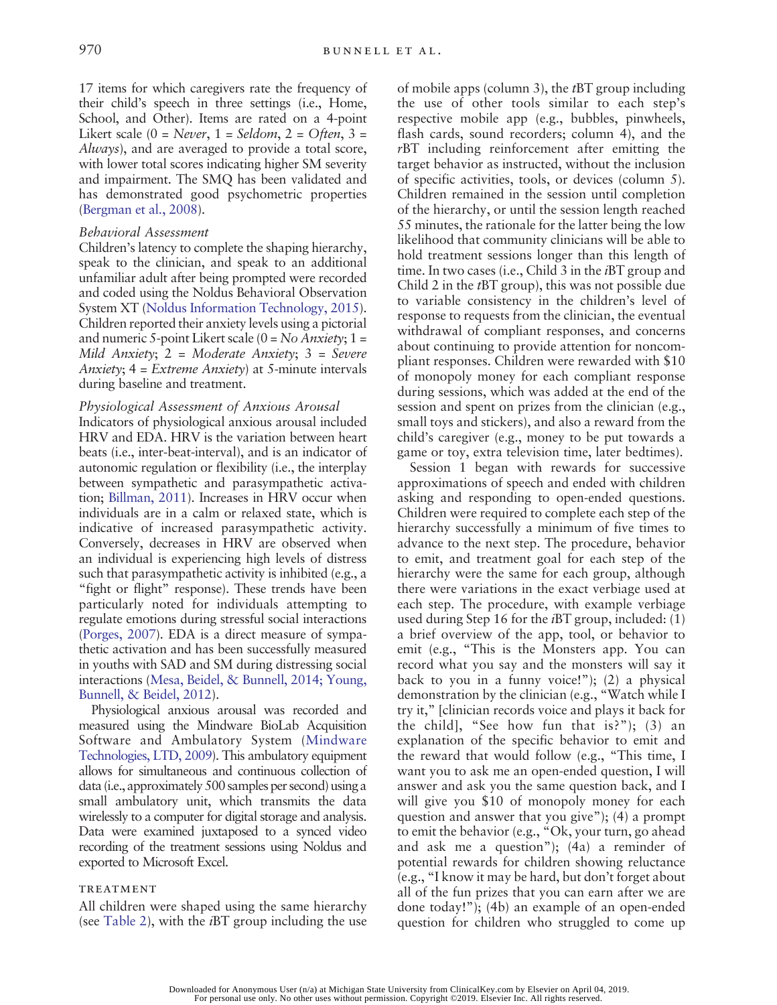17 items for which caregivers rate the frequency of their child's speech in three settings (i.e., Home, School, and Other). Items are rated on a 4-point Likert scale (0 = Never, 1 = Seldom, 2 = Often, 3 = Always), and are averaged to provide a total score, with lower total scores indicating higher SM severity and impairment. The SMQ has been validated and has demonstrated good psychometric properties [\(Bergman et al., 2008\)](#page-13-0).

## Behavioral Assessment

Children's latency to complete the shaping hierarchy, speak to the clinician, and speak to an additional unfamiliar adult after being prompted were recorded and coded using the Noldus Behavioral Observation System XT [\(Noldus Information Technology, 2015](#page-14-0)). Children reported their anxiety levels using a pictorial and numeric 5-point Likert scale  $(0 = No \, Anxiety; 1 =$ Mild Anxiety;  $2 =$  Moderate Anxiety;  $3 =$  Severe Anxiety;  $4 =$  Extreme Anxiety) at 5-minute intervals during baseline and treatment.

## Physiological Assessment of Anxious Arousal

Indicators of physiological anxious arousal included HRV and EDA. HRV is the variation between heart beats (i.e., inter-beat-interval), and is an indicator of autonomic regulation or flexibility (i.e., the interplay between sympathetic and parasympathetic activation; [Billman, 2011\)](#page-13-0). Increases in HRV occur when individuals are in a calm or relaxed state, which is indicative of increased parasympathetic activity. Conversely, decreases in HRV are observed when an individual is experiencing high levels of distress such that parasympathetic activity is inhibited (e.g., a "fight or flight" response). These trends have been particularly noted for individuals attempting to regulate emotions during stressful social interactions [\(Porges, 2007\)](#page-14-0). EDA is a direct measure of sympathetic activation and has been successfully measured in youths with SAD and SM during distressing social interactions [\(Mesa, Beidel, & Bunnell, 2014; Young,](#page-14-0) [Bunnell, & Beidel, 2012\)](#page-14-0).

Physiological anxious arousal was recorded and measured using the Mindware BioLab Acquisition Software and Ambulatory System ([Mindware](#page-14-0) [Technologies, LTD, 2009\)](#page-14-0). This ambulatory equipment allows for simultaneous and continuous collection of data (i.e., approximately 500 samples per second) using a small ambulatory unit, which transmits the data wirelessly to a computer for digital storage and analysis. Data were examined juxtaposed to a synced video recording of the treatment sessions using Noldus and exported to Microsoft Excel.

# **TREATMENT**

All children were shaped using the same hierarchy (see [Table 2\)](#page-5-0), with the iBT group including the use of mobile apps (column 3), the tBT group including the use of other tools similar to each step's respective mobile app (e.g., bubbles, pinwheels, flash cards, sound recorders; column 4), and the rBT including reinforcement after emitting the target behavior as instructed, without the inclusion of specific activities, tools, or devices (column 5). Children remained in the session until completion of the hierarchy, or until the session length reached 55 minutes, the rationale for the latter being the low likelihood that community clinicians will be able to hold treatment sessions longer than this length of time. In two cases (i.e., Child 3 in the iBT group and Child 2 in the tBT group), this was not possible due to variable consistency in the children's level of response to requests from the clinician, the eventual withdrawal of compliant responses, and concerns about continuing to provide attention for noncompliant responses. Children were rewarded with \$10 of monopoly money for each compliant response during sessions, which was added at the end of the session and spent on prizes from the clinician (e.g., small toys and stickers), and also a reward from the child's caregiver (e.g., money to be put towards a game or toy, extra television time, later bedtimes).

Session 1 began with rewards for successive approximations of speech and ended with children asking and responding to open-ended questions. Children were required to complete each step of the hierarchy successfully a minimum of five times to advance to the next step. The procedure, behavior to emit, and treatment goal for each step of the hierarchy were the same for each group, although there were variations in the exact verbiage used at each step. The procedure, with example verbiage used during Step 16 for the iBT group, included: (1) a brief overview of the app, tool, or behavior to emit (e.g., "This is the Monsters app. You can record what you say and the monsters will say it back to you in a funny voice!"); (2) a physical demonstration by the clinician (e.g., "Watch while I try it," [clinician records voice and plays it back for the child], "See how fun that is?"); (3) an explanation of the specific behavior to emit and the reward that would follow (e.g., "This time, I want you to ask me an open-ended question, I will answer and ask you the same question back, and I will give you \$10 of monopoly money for each question and answer that you give"); (4) a prompt to emit the behavior (e.g., "Ok, your turn, go ahead and ask me a question"); (4a) a reminder of potential rewards for children showing reluctance (e.g., "I know it may be hard, but don't forget about all of the fun prizes that you can earn after we are done today!"); (4b) an example of an open-ended question for children who struggled to come up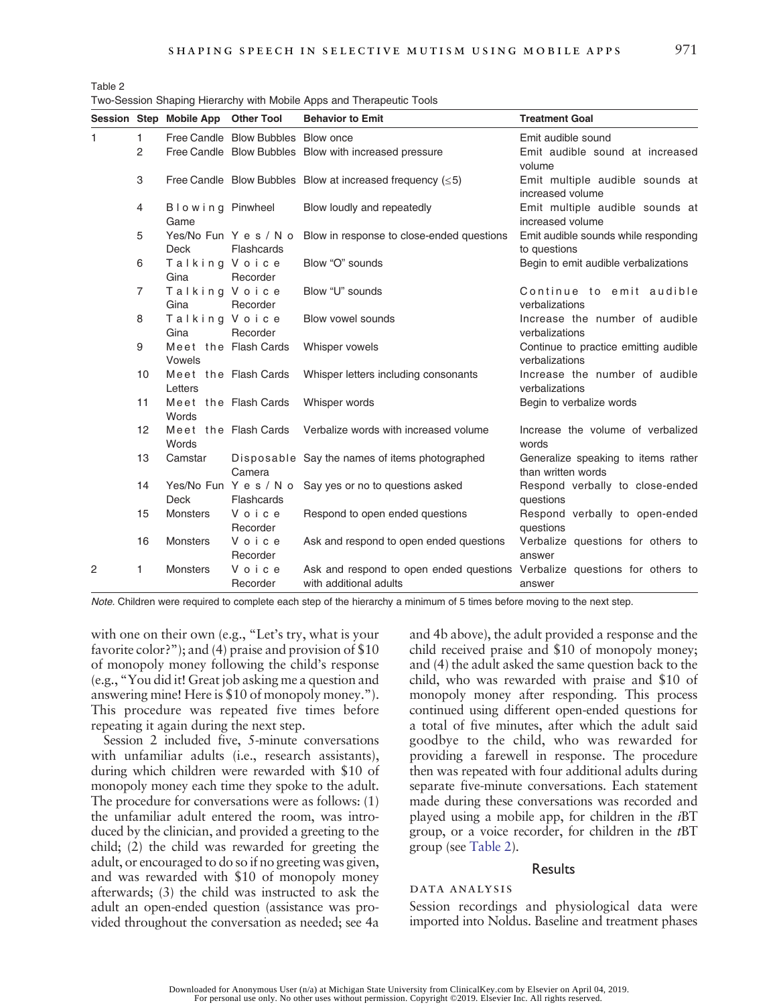|   |              | Session Step Mobile App Other Tool |                                      | <b>Behavior to Emit</b>                                                                             | <b>Treatment Goal</b>                                     |
|---|--------------|------------------------------------|--------------------------------------|-----------------------------------------------------------------------------------------------------|-----------------------------------------------------------|
| 1 | $\mathbf{1}$ |                                    | Free Candle Blow Bubbles Blow once   |                                                                                                     | Emit audible sound                                        |
|   | 2            |                                    |                                      | Free Candle Blow Bubbles Blow with increased pressure                                               | Emit audible sound at increased<br>volume                 |
|   | 3            |                                    |                                      | Free Candle Blow Bubbles Blow at increased frequency $(\leq 5)$                                     | Emit multiple audible sounds at<br>increased volume       |
|   | 4            | Blowing Pinwheel<br>Game           |                                      | Blow loudly and repeatedly                                                                          | Emit multiple audible sounds at<br>increased volume       |
|   | 5            | <b>Deck</b>                        | Yes/No Fun Y e s / N o<br>Flashcards | Blow in response to close-ended questions                                                           | Emit audible sounds while responding<br>to questions      |
|   | 6            | Talking Voice<br>Gina              | Recorder                             | Blow "O" sounds                                                                                     | Begin to emit audible verbalizations                      |
|   | 7            | Talking Voice<br>Gina              | Recorder                             | Blow "U" sounds                                                                                     | Continue to emit audible<br>verbalizations                |
|   | 8            | Talking Voice<br>Gina              | Recorder                             | Blow yowel sounds                                                                                   | Increase the number of audible<br>verbalizations          |
|   | 9            | Vowels                             | Meet the Flash Cards                 | Whisper vowels                                                                                      | Continue to practice emitting audible<br>verbalizations   |
|   | 10           | Letters                            | Meet the Flash Cards                 | Whisper letters including consonants                                                                | Increase the number of audible<br>verbalizations          |
|   | 11           | Words                              | Meet the Flash Cards                 | Whisper words                                                                                       | Begin to verbalize words                                  |
|   | 12           | Words                              | Meet the Flash Cards                 | Verbalize words with increased volume                                                               | Increase the volume of verbalized<br>words                |
|   | 13           | Camstar                            | Camera                               | Disposable Say the names of items photographed                                                      | Generalize speaking to items rather<br>than written words |
|   | 14           | <b>Deck</b>                        | Yes/No Fun Y e s / N o<br>Flashcards | Say yes or no to questions asked                                                                    | Respond verbally to close-ended<br>questions              |
|   | 15           | <b>Monsters</b>                    | Voice<br>Recorder                    | Respond to open ended questions                                                                     | Respond verbally to open-ended<br>questions               |
|   | 16           | <b>Monsters</b>                    | Voice<br>Recorder                    | Ask and respond to open ended questions                                                             | Verbalize questions for others to<br>answer               |
| 2 | 1            | <b>Monsters</b>                    | Voice<br>Recorder                    | Ask and respond to open ended questions Verbalize questions for others to<br>with additional adults | answer                                                    |

Two-Session Shaping Hierarchy with Mobile Apps and Therapeutic Tools

<span id="page-5-0"></span>Table 2

Note. Children were required to complete each step of the hierarchy a minimum of 5 times before moving to the next step.

with one on their own (e.g., "Let's try, what is your favorite color?"); and (4) praise and provision of \$10 of monopoly money following the child's response (e.g., "You did it! Great job asking me a question and answering mine! Here is \$10 of monopoly money."). This procedure was repeated five times before repeating it again during the next step.

Session 2 included five, 5-minute conversations with unfamiliar adults (i.e., research assistants), during which children were rewarded with \$10 of monopoly money each time they spoke to the adult. The procedure for conversations were as follows: (1) the unfamiliar adult entered the room, was introduced by the clinician, and provided a greeting to the child; (2) the child was rewarded for greeting the adult, or encouraged to do so if no greeting was given, and was rewarded with \$10 of monopoly money afterwards; (3) the child was instructed to ask the adult an open-ended question (assistance was provided throughout the conversation as needed; see 4a

and 4b above), the adult provided a response and the child received praise and \$10 of monopoly money; and (4) the adult asked the same question back to the child, who was rewarded with praise and \$10 of monopoly money after responding. This process continued using different open-ended questions for a total of five minutes, after which the adult said goodbye to the child, who was rewarded for providing a farewell in response. The procedure then was repeated with four additional adults during separate five-minute conversations. Each statement made during these conversations was recorded and played using a mobile app, for children in the iBT group, or a voice recorder, for children in the tBT group (see Table 2).

#### **Results**

#### data analysis

Session recordings and physiological data were imported into Noldus. Baseline and treatment phases

Downloaded for Anonymous User (n/a) at Michigan State University from ClinicalKey.com by Elsevier on April 04, 2019.

For personal use only. No other uses without permission. Copyright ©2019. Elsevier Inc. All rights reserved.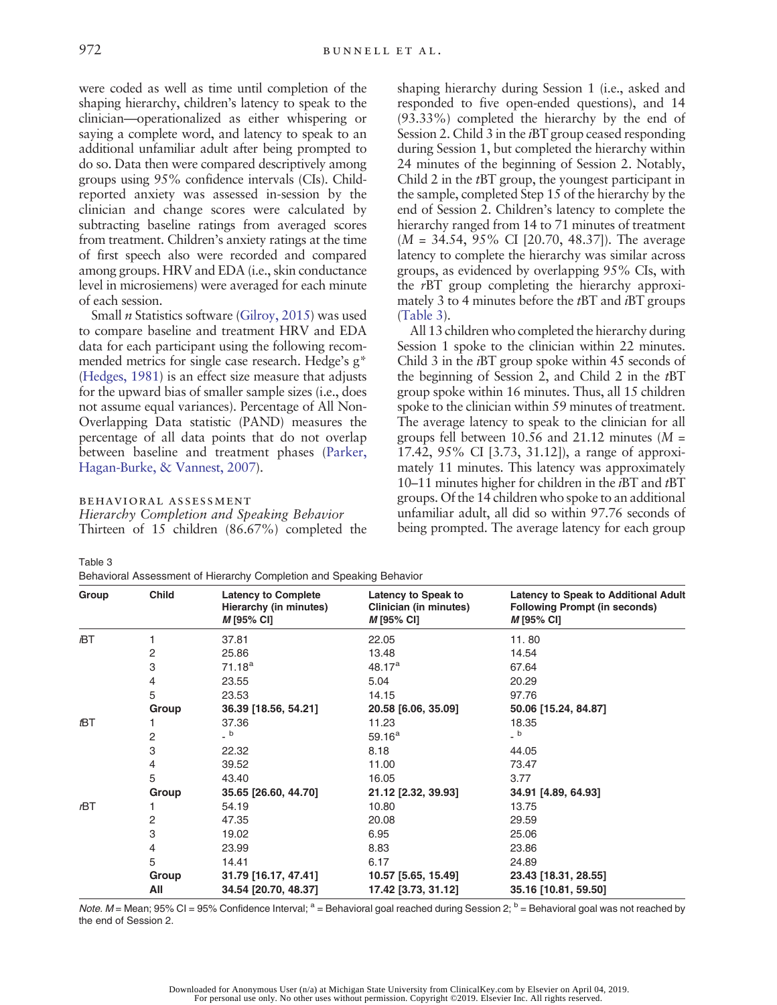<span id="page-6-0"></span>were coded as well as time until completion of the shaping hierarchy, children's latency to speak to the clinician—operationalized as either whispering or saying a complete word, and latency to speak to an additional unfamiliar adult after being prompted to do so. Data then were compared descriptively among groups using 95% confidence intervals (CIs). Childreported anxiety was assessed in-session by the clinician and change scores were calculated by subtracting baseline ratings from averaged scores from treatment. Children's anxiety ratings at the time of first speech also were recorded and compared among groups. HRV and EDA (i.e., skin conductance level in microsiemens) were averaged for each minute of each session.

Small  $n$  Statistics software [\(Gilroy, 2015\)](#page-14-0) was used to compare baseline and treatment HRV and EDA data for each participant using the following recommended metrics for single case research. Hedge's g\* [\(Hedges, 1981\)](#page-14-0) is an effect size measure that adjusts for the upward bias of smaller sample sizes (i.e., does not assume equal variances). Percentage of All Non-Overlapping Data statistic (PAND) measures the percentage of all data points that do not overlap between baseline and treatment phases [\(Parker,](#page-14-0) [Hagan-Burke, & Vannest, 2007\)](#page-14-0).

### behavioral assessment

Hierarchy Completion and Speaking Behavior Thirteen of 15 children (86.67%) completed the shaping hierarchy during Session 1 (i.e., asked and responded to five open-ended questions), and 14 (93.33%) completed the hierarchy by the end of Session 2. Child 3 in the iBT group ceased responding during Session 1, but completed the hierarchy within 24 minutes of the beginning of Session 2. Notably, Child 2 in the tBT group, the youngest participant in the sample, completed Step 15 of the hierarchy by the end of Session 2. Children's latency to complete the hierarchy ranged from 14 to 71 minutes of treatment  $(M = 34.54, 95\% \text{ CI}$  [20.70, 48.37]). The average latency to complete the hierarchy was similar across groups, as evidenced by overlapping 95% CIs, with the rBT group completing the hierarchy approximately 3 to 4 minutes before the *t*BT and *iBT* groups (Table 3).

All 13 children who completed the hierarchy during Session 1 spoke to the clinician within 22 minutes. Child 3 in the iBT group spoke within 45 seconds of the beginning of Session 2, and Child 2 in the tBT group spoke within 16 minutes. Thus, all 15 children spoke to the clinician within 59 minutes of treatment. The average latency to speak to the clinician for all groups fell between 10.56 and 21.12 minutes  $(M =$ 17.42, 95% CI [3.73, 31.12]), a range of approximately 11 minutes. This latency was approximately 10–11 minutes higher for children in the iBT and tBT groups. Of the 14 children who spoke to an additional unfamiliar adult, all did so within 97.76 seconds of being prompted. The average latency for each group

Table 3

| Group            | <b>Child</b> | <b>Latency to Complete</b><br>Hierarchy (in minutes)<br>M [95% CI] | Latency to Speak to<br>Clinician (in minutes)<br><i>M</i> [95% CI] | <b>Latency to Speak to Additional Adult</b><br><b>Following Prompt (in seconds)</b><br>M [95% CI] |
|------------------|--------------|--------------------------------------------------------------------|--------------------------------------------------------------------|---------------------------------------------------------------------------------------------------|
| <b>BT</b>        |              | 37.81                                                              | 22.05                                                              | 11.80                                                                                             |
|                  | 2            | 25.86                                                              | 13.48                                                              | 14.54                                                                                             |
|                  | 3            | 71.18 <sup>a</sup>                                                 | 48.17 <sup>a</sup>                                                 | 67.64                                                                                             |
|                  | 4            | 23.55                                                              | 5.04                                                               | 20.29                                                                                             |
|                  | 5            | 23.53                                                              | 14.15                                                              | 97.76                                                                                             |
|                  | Group        | 36.39 [18.56, 54.21]                                               | 20.58 [6.06, 35.09]                                                | 50.06 [15.24, 84.87]                                                                              |
| t <sub>B</sub> T |              | 37.36                                                              | 11.23                                                              | 18.35                                                                                             |
|                  | 2            | $- b$                                                              | $59.16^{\text{a}}$                                                 | $-b$                                                                                              |
|                  | 3            | 22.32                                                              | 8.18                                                               | 44.05                                                                                             |
|                  | 4            | 39.52                                                              | 11.00                                                              | 73.47                                                                                             |
|                  | 5            | 43.40                                                              | 16.05                                                              | 3.77                                                                                              |
|                  | Group        | 35.65 [26.60, 44.70]                                               | 21.12 [2.32, 39.93]                                                | 34.91 [4.89, 64.93]                                                                               |
| <b>BT</b>        |              | 54.19                                                              | 10.80                                                              | 13.75                                                                                             |
|                  | 2            | 47.35                                                              | 20.08                                                              | 29.59                                                                                             |
|                  | 3            | 19.02                                                              | 6.95                                                               | 25.06                                                                                             |
|                  | 4            | 23.99                                                              | 8.83                                                               | 23.86                                                                                             |
|                  | 5            | 14.41                                                              | 6.17                                                               | 24.89                                                                                             |
|                  | Group        | 31.79 [16.17, 47.41]                                               | 10.57 [5.65, 15.49]                                                | 23.43 [18.31, 28.55]                                                                              |
|                  | All          | 34.54 [20.70, 48.37]                                               | 17.42 [3.73, 31.12]                                                | 35.16 [10.81, 59.50]                                                                              |

Note.  $M =$  Mean; 95% CI = 95% Confidence Interval;  $a =$  Behavioral goal reached during Session 2;  $b =$  Behavioral goal was not reached by the end of Session 2.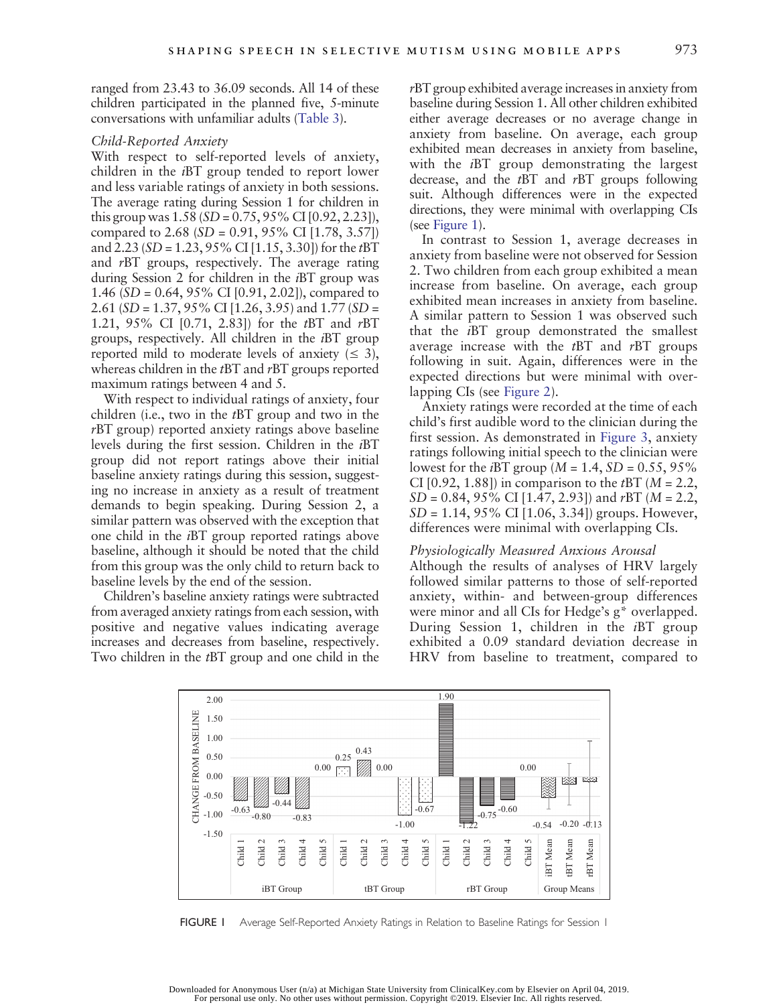ranged from 23.43 to 36.09 seconds. All 14 of these children participated in the planned five, 5-minute conversations with unfamiliar adults [\(Table 3\)](#page-6-0).

#### Child-Reported Anxiety

With respect to self-reported levels of anxiety, children in the iBT group tended to report lower and less variable ratings of anxiety in both sessions. The average rating during Session 1 for children in this group was  $1.58$  (SD = 0.75, 95% CI [0.92, 2.23]), compared to 2.68 (SD = 0.91, 95% CI [1.78, 3.57]) and 2.23 (SD = 1.23, 95% CI [1.15, 3.30]) for the tBT and rBT groups, respectively. The average rating during Session 2 for children in the iBT group was 1.46 (SD = 0.64, 95% CI [0.91, 2.02]), compared to 2.61 (SD = 1.37, 95% CI [1.26, 3.95) and 1.77 (SD = 1.21, 95% CI [0.71, 2.83]) for the tBT and rBT groups, respectively. All children in the iBT group reported mild to moderate levels of anxiety  $(\leq 3)$ , whereas children in the *t*BT and *rBT* groups reported maximum ratings between 4 and 5.

With respect to individual ratings of anxiety, four children (i.e., two in the tBT group and two in the rBT group) reported anxiety ratings above baseline levels during the first session. Children in the iBT group did not report ratings above their initial baseline anxiety ratings during this session, suggesting no increase in anxiety as a result of treatment demands to begin speaking. During Session 2, a similar pattern was observed with the exception that one child in the iBT group reported ratings above baseline, although it should be noted that the child from this group was the only child to return back to baseline levels by the end of the session.

Children's baseline anxiety ratings were subtracted from averaged anxiety ratings from each session, with positive and negative values indicating average increases and decreases from baseline, respectively. Two children in the tBT group and one child in the

rBT group exhibited average increases in anxiety from baseline during Session 1. All other children exhibited either average decreases or no average change in anxiety from baseline. On average, each group exhibited mean decreases in anxiety from baseline, with the *i*BT group demonstrating the largest decrease, and the tBT and rBT groups following suit. Although differences were in the expected directions, they were minimal with overlapping CIs (see Figure 1).

In contrast to Session 1, average decreases in anxiety from baseline were not observed for Session 2. Two children from each group exhibited a mean increase from baseline. On average, each group exhibited mean increases in anxiety from baseline. A similar pattern to Session 1 was observed such that the iBT group demonstrated the smallest average increase with the  $tBT$  and  $rBT$  groups following in suit. Again, differences were in the expected directions but were minimal with overlapping CIs (see [Figure 2](#page-8-0)).

Anxiety ratings were recorded at the time of each child's first audible word to the clinician during the first session. As demonstrated in [Figure 3,](#page-8-0) anxiety ratings following initial speech to the clinician were lowest for the *i*BT group ( $M = 1.4$ ,  $SD = 0.55$ ,  $95\%$ CI  $[0.92, 1.88]$  in comparison to the *tBT* (*M* = 2.2,  $SD = 0.84$ , 95% CI [1.47, 2.93]) and rBT (M = 2.2,  $SD = 1.14, 95\% \text{ CI}$  [1.06, 3.34]) groups. However, differences were minimal with overlapping CIs.

#### Physiologically Measured Anxious Arousal

Although the results of analyses of HRV largely followed similar patterns to those of self-reported anxiety, within- and between-group differences were minor and all CIs for Hedge's g\* overlapped. During Session 1, children in the iBT group exhibited a 0.09 standard deviation decrease in HRV from baseline to treatment, compared to



FIGURE I Average Self-Reported Anxiety Ratings in Relation to Baseline Ratings for Session I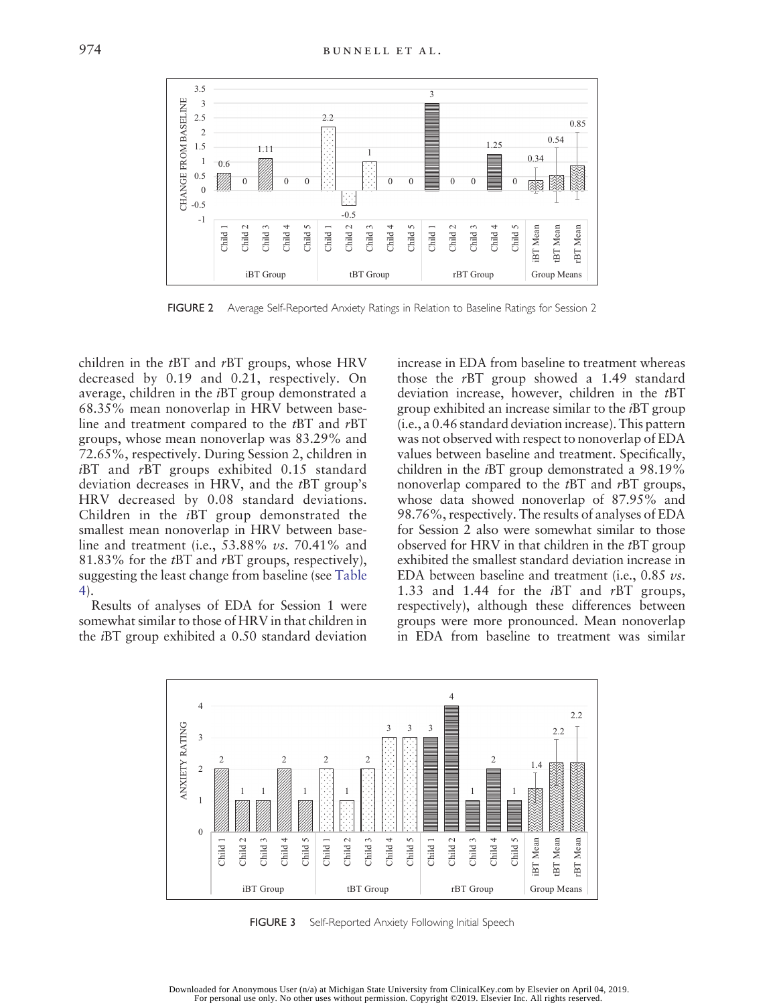<span id="page-8-0"></span>

FIGURE 2 Average Self-Reported Anxiety Ratings in Relation to Baseline Ratings for Session 2

children in the  $tBT$  and  $rBT$  groups, whose HRV decreased by 0.19 and 0.21, respectively. On average, children in the iBT group demonstrated a 68.35% mean nonoverlap in HRV between baseline and treatment compared to the tBT and rBT groups, whose mean nonoverlap was 83.29% and 72.65%, respectively. During Session 2, children in iBT and rBT groups exhibited 0.15 standard deviation decreases in HRV, and the tBT group's HRV decreased by 0.08 standard deviations. Children in the iBT group demonstrated the smallest mean nonoverlap in HRV between baseline and treatment (i.e., 53.88% vs. 70.41% and 81.83% for the tBT and rBT groups, respectively), suggesting the least change from baseline (see [Table](#page-9-0) [4\)](#page-9-0).

Results of analyses of EDA for Session 1 were somewhat similar to those of HRV in that children in the iBT group exhibited a 0.50 standard deviation increase in EDA from baseline to treatment whereas those the rBT group showed a 1.49 standard deviation increase, however, children in the tBT group exhibited an increase similar to the iBT group (i.e., a 0.46 standard deviation increase). This pattern was not observed with respect to nonoverlap of EDA values between baseline and treatment. Specifically, children in the iBT group demonstrated a 98.19% nonoverlap compared to the tBT and rBT groups, whose data showed nonoverlap of 87.95% and 98.76%, respectively. The results of analyses of EDA for Session 2 also were somewhat similar to those observed for HRV in that children in the tBT group exhibited the smallest standard deviation increase in EDA between baseline and treatment (i.e.,  $0.85 \text{ vs.}$ ) 1.33 and 1.44 for the  $iBT$  and  $rBT$  groups, respectively), although these differences between groups were more pronounced. Mean nonoverlap in EDA from baseline to treatment was similar



FIGURE 3 Self-Reported Anxiety Following Initial Speech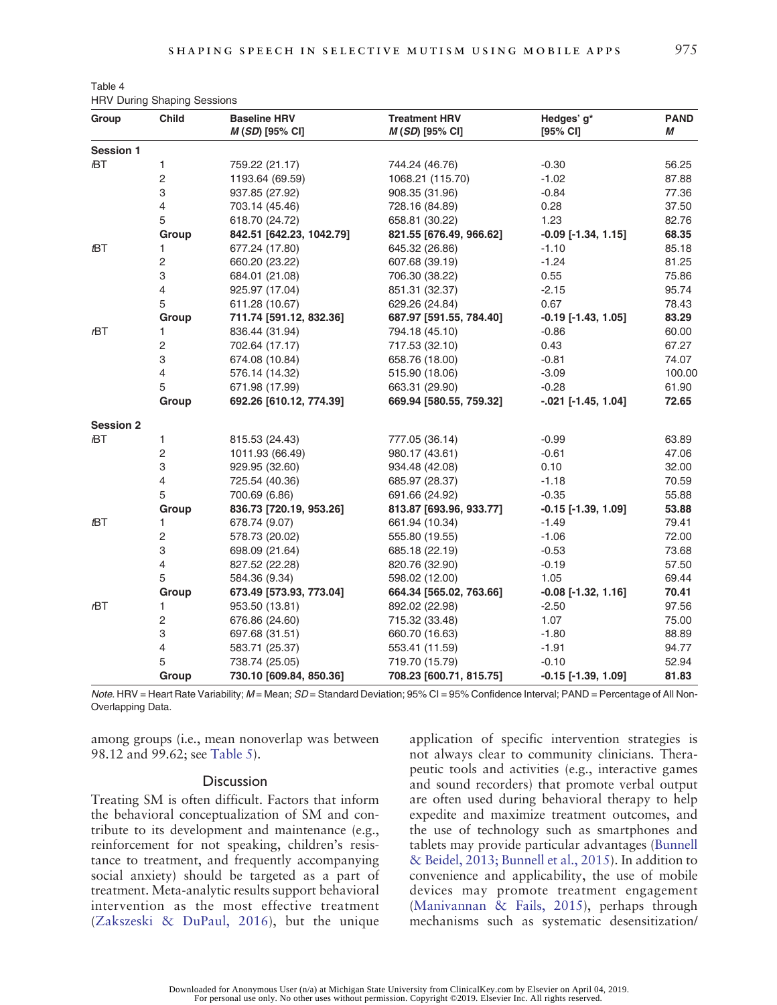<span id="page-9-0"></span>

| Table 4 |  |                                    |
|---------|--|------------------------------------|
|         |  | <b>HRV During Shaping Sessions</b> |

| Group            | <b>Child</b> | <b>Baseline HRV</b><br>M (SD) [95% CI] | <b>Treatment HRV</b><br>$M(SD)$ [95% CI] | Hedges' g*<br>$[95%$ CI]     | <b>PAND</b><br>М |
|------------------|--------------|----------------------------------------|------------------------------------------|------------------------------|------------------|
| <b>Session 1</b> |              |                                        |                                          |                              |                  |
| <b>BT</b>        | 1            | 759.22 (21.17)                         | 744.24 (46.76)                           | $-0.30$                      | 56.25            |
|                  | 2            | 1193.64 (69.59)                        | 1068.21 (115.70)                         | $-1.02$                      | 87.88            |
|                  | З            | 937.85 (27.92)                         | 908.35 (31.96)                           | $-0.84$                      | 77.36            |
|                  | 4            | 703.14 (45.46)                         | 728.16 (84.89)                           | 0.28                         | 37.50            |
|                  | 5            | 618.70 (24.72)                         | 658.81 (30.22)                           | 1.23                         | 82.76            |
|                  | Group        | 842.51 [642.23, 1042.79]               | 821.55 [676.49, 966.62]                  | $-0.09$ [ $-1.34$ , $1.15$ ] | 68.35            |
| t <sub>B</sub> T | 1            | 677.24 (17.80)                         | 645.32 (26.86)                           | $-1.10$                      | 85.18            |
|                  | 2            | 660.20 (23.22)                         | 607.68 (39.19)                           | $-1.24$                      | 81.25            |
|                  | З            | 684.01 (21.08)                         | 706.30 (38.22)                           | 0.55                         | 75.86            |
|                  | 4            | 925.97 (17.04)                         | 851.31 (32.37)                           | $-2.15$                      | 95.74            |
|                  | 5            | 611.28 (10.67)                         | 629.26 (24.84)                           | 0.67                         | 78.43            |
|                  | Group        | 711.74 [591.12, 832.36]                | 687.97 [591.55, 784.40]                  | $-0.19$ [ $-1.43$ , $1.05$ ] | 83.29            |
| <b>/BT</b>       | 1            | 836.44 (31.94)                         | 794.18 (45.10)                           | $-0.86$                      | 60.00            |
|                  | 2            | 702.64 (17.17)                         | 717.53 (32.10)                           | 0.43                         | 67.27            |
|                  | З            | 674.08 (10.84)                         | 658.76 (18.00)                           | $-0.81$                      | 74.07            |
|                  | 4            | 576.14 (14.32)                         | 515.90 (18.06)                           | $-3.09$                      | 100.00           |
|                  | 5            | 671.98 (17.99)                         | 663.31 (29.90)                           | $-0.28$                      | 61.90            |
|                  | Group        | 692.26 [610.12, 774.39]                | 669.94 [580.55, 759.32]                  | $-.021$ [-1.45, 1.04]        | 72.65            |
| <b>Session 2</b> |              |                                        |                                          |                              |                  |
| <b>BT</b>        | 1            | 815.53 (24.43)                         | 777.05 (36.14)                           | $-0.99$                      | 63.89            |
|                  | 2            | 1011.93 (66.49)                        | 980.17 (43.61)                           | $-0.61$                      | 47.06            |
|                  | З            | 929.95 (32.60)                         | 934.48 (42.08)                           | 0.10                         | 32.00            |
|                  | 4            | 725.54 (40.36)                         | 685.97 (28.37)                           | $-1.18$                      | 70.59            |
|                  | 5            | 700.69 (6.86)                          | 691.66 (24.92)                           | $-0.35$                      | 55.88            |
|                  | Group        | 836.73 [720.19, 953.26]                | 813.87 [693.96, 933.77]                  | $-0.15$ [ $-1.39$ , $1.09$ ] | 53.88            |
| t <sub>B</sub> T | 1            | 678.74 (9.07)                          | 661.94 (10.34)                           | $-1.49$                      | 79.41            |
|                  | 2            | 578.73 (20.02)                         | 555.80 (19.55)                           | $-1.06$                      | 72.00            |
|                  | 3            | 698.09 (21.64)                         | 685.18 (22.19)                           | $-0.53$                      | 73.68            |
|                  | 4            | 827.52 (22.28)                         | 820.76 (32.90)                           | $-0.19$                      | 57.50            |
|                  | 5            | 584.36 (9.34)                          | 598.02 (12.00)                           | 1.05                         | 69.44            |
|                  | Group        | 673.49 [573.93, 773.04]                | 664.34 [565.02, 763.66]                  | $-0.08$ [ $-1.32$ , 1.16]    | 70.41            |
| <b>BT</b>        | 1            | 953.50 (13.81)                         | 892.02 (22.98)                           | $-2.50$                      | 97.56            |
|                  | 2            | 676.86 (24.60)                         | 715.32 (33.48)                           | 1.07                         | 75.00            |
|                  | 3            | 697.68 (31.51)                         | 660.70 (16.63)                           | $-1.80$                      | 88.89            |
|                  | 4            | 583.71 (25.37)                         | 553.41 (11.59)                           | $-1.91$                      | 94.77            |
|                  | 5            | 738.74 (25.05)                         | 719.70 (15.79)                           | $-0.10$                      | 52.94            |
|                  | Group        | 730.10 [609.84, 850.36]                | 708.23 [600.71, 815.75]                  | $-0.15$ [ $-1.39$ , $1.09$ ] | 81.83            |

Note. HRV = Heart Rate Variability; M = Mean; SD = Standard Deviation; 95% CI = 95% Confidence Interval; PAND = Percentage of All Non-Overlapping Data.

among groups (i.e., mean nonoverlap was between 98.12 and 99.62; see [Table 5](#page-10-0)).

### **Discussion**

Treating SM is often difficult. Factors that inform the behavioral conceptualization of SM and contribute to its development and maintenance (e.g., reinforcement for not speaking, children's resistance to treatment, and frequently accompanying social anxiety) should be targeted as a part of treatment. Meta-analytic results support behavioral intervention as the most effective treatment [\(Zakszeski & DuPaul, 2016\)](#page-14-0), but the unique application of specific intervention strategies is not always clear to community clinicians. Therapeutic tools and activities (e.g., interactive games and sound recorders) that promote verbal output are often used during behavioral therapy to help expedite and maximize treatment outcomes, and the use of technology such as smartphones and tablets may provide particular advantages [\(Bunnell](#page-13-0) [& Beidel, 2013; Bunnell et al., 2015\)](#page-13-0). In addition to convenience and applicability, the use of mobile devices may promote treatment engagement [\(Manivannan & Fails, 2015\)](#page-14-0), perhaps through mechanisms such as systematic desensitization/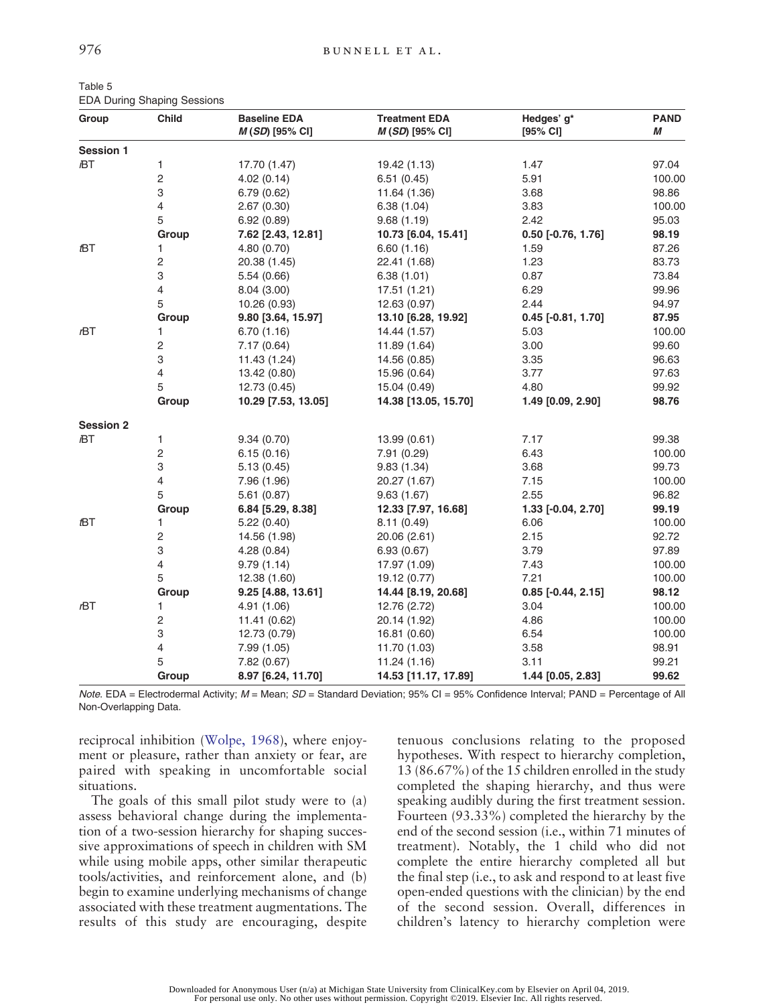<span id="page-10-0"></span>

| Group            | <b>Child</b>                          | <b>Baseline EDA</b><br>M (SD) [95% CI] | <b>Treatment EDA</b><br>M (SD) [95% CI] | Hedges' g*<br>$[95%$ CI] | <b>PAND</b><br>М |
|------------------|---------------------------------------|----------------------------------------|-----------------------------------------|--------------------------|------------------|
| <b>Session 1</b> |                                       |                                        |                                         |                          |                  |
| <b>/BT</b>       | 1                                     | 17.70 (1.47)                           | 19.42 (1.13)                            | 1.47                     | 97.04            |
|                  | $\overline{c}$                        | 4.02(0.14)                             | 6.51(0.45)                              | 5.91                     | 100.00           |
|                  | 3                                     | 6.79(0.62)                             | 11.64 (1.36)                            | 3.68                     | 98.86            |
|                  | 4                                     | 2.67(0.30)                             | 6.38(1.04)                              | 3.83                     | 100.00           |
|                  | 5                                     | 6.92(0.89)                             | 9.68(1.19)                              | 2.42                     | 95.03            |
|                  | Group                                 | 7.62 [2.43, 12.81]                     | 10.73 [6.04, 15.41]                     | $0.50$ [-0.76, 1.76]     | 98.19            |
| <b>tBT</b>       | 1                                     | 4.80(0.70)                             | 6.60(1.16)                              | 1.59                     | 87.26            |
|                  | $\mathfrak{2}% _{H}=\mathfrak{2}_{H}$ | 20.38 (1.45)                           | 22.41 (1.68)                            | 1.23                     | 83.73            |
|                  | 3                                     | 5.54(0.66)                             | 6.38(1.01)                              | 0.87                     | 73.84            |
|                  | 4                                     | 8.04(3.00)                             | 17.51 (1.21)                            | 6.29                     | 99.96            |
|                  | 5                                     | 10.26 (0.93)                           | 12.63 (0.97)                            | 2.44                     | 94.97            |
|                  | Group                                 | 9.80 [3.64, 15.97]                     | 13.10 [6.28, 19.92]                     | $0.45$ [-0.81, 1.70]     | 87.95            |
| <b>rBT</b>       | 1                                     | 6.70(1.16)                             | 14.44 (1.57)                            | 5.03                     | 100.00           |
|                  | $\mathfrak{2}% _{H}=\mathfrak{2}_{H}$ | 7.17(0.64)                             | 11.89 (1.64)                            | 3.00                     | 99.60            |
|                  | 3                                     | 11.43 (1.24)                           | 14.56 (0.85)                            | 3.35                     | 96.63            |
|                  | 4                                     | 13.42 (0.80)                           | 15.96 (0.64)                            | 3.77                     | 97.63            |
|                  | 5                                     | 12.73 (0.45)                           | 15.04 (0.49)                            | 4.80                     | 99.92            |
|                  | Group                                 | 10.29 [7.53, 13.05]                    | 14.38 [13.05, 15.70]                    | 1.49 [0.09, 2.90]        | 98.76            |
| <b>Session 2</b> |                                       |                                        |                                         |                          |                  |
| <b>BT</b>        | 1                                     | 9.34(0.70)                             | 13.99 (0.61)                            | 7.17                     | 99.38            |
|                  | $\mathfrak{2}% _{H}=\mathfrak{2}_{H}$ | 6.15(0.16)                             | 7.91 (0.29)                             | 6.43                     | 100.00           |
|                  | 3                                     | 5.13(0.45)                             | 9.83(1.34)                              | 3.68                     | 99.73            |
|                  | 4                                     | 7.96 (1.96)                            | 20.27 (1.67)                            | 7.15                     | 100.00           |
|                  | 5                                     | 5.61(0.87)                             | 9.63(1.67)                              | 2.55                     | 96.82            |
|                  | Group                                 | 6.84 [5.29, 8.38]                      | 12.33 [7.97, 16.68]                     | 1.33 [-0.04, 2.70]       | 99.19            |
| <b>tBT</b>       | 1                                     | 5.22(0.40)                             | 8.11(0.49)                              | 6.06                     | 100.00           |
|                  | 2                                     | 14.56 (1.98)                           | 20.06 (2.61)                            | 2.15                     | 92.72            |
|                  | 3                                     | 4.28(0.84)                             | 6.93(0.67)                              | 3.79                     | 97.89            |
|                  | 4                                     | 9.79(1.14)                             | 17.97 (1.09)                            | 7.43                     | 100.00           |
|                  | 5                                     | 12.38 (1.60)                           | 19.12 (0.77)                            | 7.21                     | 100.00           |
|                  | Group                                 | 9.25 [4.88, 13.61]                     | 14.44 [8.19, 20.68]                     | $0.85$ [-0.44, 2.15]     | 98.12            |
| <b>/BT</b>       | 1                                     | 4.91 (1.06)                            | 12.76 (2.72)                            | 3.04                     | 100.00           |
|                  | 2                                     | 11.41 (0.62)                           | 20.14 (1.92)                            | 4.86                     | 100.00           |
|                  | 3                                     | 12.73 (0.79)                           | 16.81 (0.60)                            | 6.54                     | 100.00           |
|                  | 4                                     | 7.99 (1.05)                            | 11.70 (1.03)                            | 3.58                     | 98.91            |
|                  | 5                                     | 7.82 (0.67)                            | 11.24 (1.16)                            | 3.11                     | 99.21            |
|                  | Group                                 | 8.97 [6.24, 11.70]                     | 14.53 [11.17, 17.89]                    | 1.44 [0.05, 2.83]        | 99.62            |

Table 5 EDA During Shaping Sessions

Note. EDA = Electrodermal Activity;  $M =$  Mean;  $SD =$  Standard Deviation; 95% CI = 95% Confidence Interval; PAND = Percentage of All Non-Overlapping Data.

reciprocal inhibition [\(Wolpe, 1968](#page-14-0)), where enjoyment or pleasure, rather than anxiety or fear, are paired with speaking in uncomfortable social situations.

The goals of this small pilot study were to (a) assess behavioral change during the implementation of a two-session hierarchy for shaping successive approximations of speech in children with SM while using mobile apps, other similar therapeutic tools/activities, and reinforcement alone, and (b) begin to examine underlying mechanisms of change associated with these treatment augmentations. The results of this study are encouraging, despite tenuous conclusions relating to the proposed hypotheses. With respect to hierarchy completion, 13 (86.67%) of the 15 children enrolled in the study completed the shaping hierarchy, and thus were speaking audibly during the first treatment session. Fourteen (93.33%) completed the hierarchy by the end of the second session (i.e., within 71 minutes of treatment). Notably, the 1 child who did not complete the entire hierarchy completed all but the final step (i.e., to ask and respond to at least five open-ended questions with the clinician) by the end of the second session. Overall, differences in children's latency to hierarchy completion were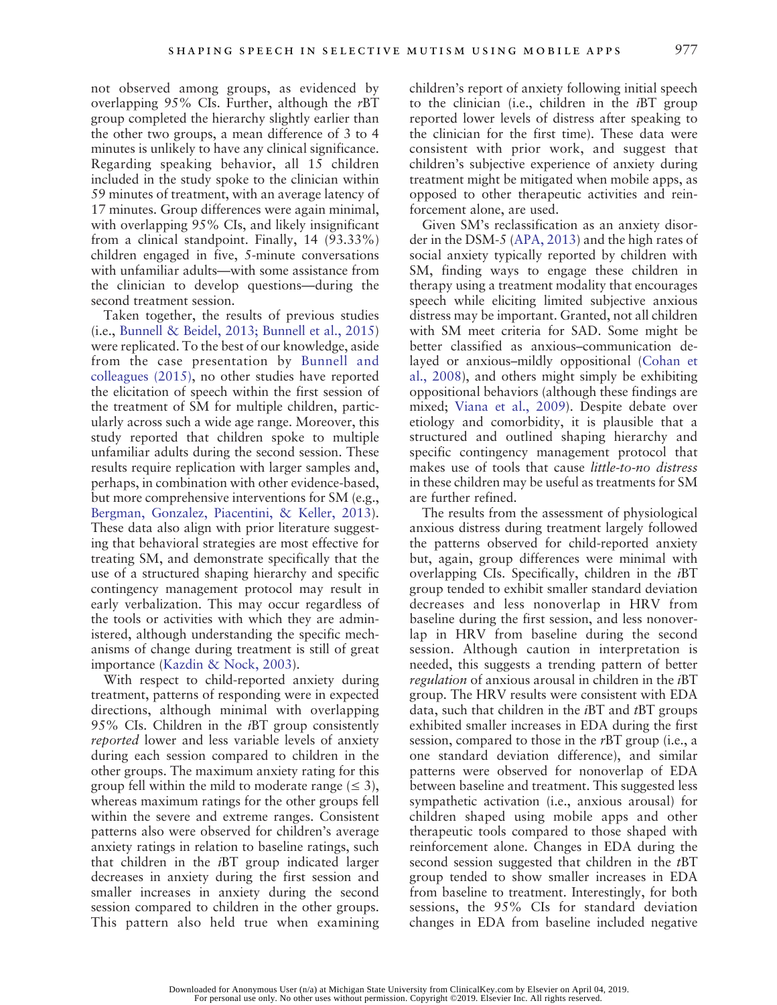not observed among groups, as evidenced by overlapping 95% CIs. Further, although the rBT group completed the hierarchy slightly earlier than the other two groups, a mean difference of 3 to 4 minutes is unlikely to have any clinical significance. Regarding speaking behavior, all 15 children included in the study spoke to the clinician within 59 minutes of treatment, with an average latency of 17 minutes. Group differences were again minimal, with overlapping 95% CIs, and likely insignificant from a clinical standpoint. Finally, 14 (93.33%) children engaged in five, 5-minute conversations with unfamiliar adults—with some assistance from the clinician to develop questions—during the second treatment session.

Taken together, the results of previous studies (i.e., [Bunnell & Beidel, 2013; Bunnell et al., 2015](#page-13-0)) were replicated. To the best of our knowledge, aside from the case presentation by [Bunnell and](#page-13-0) [colleagues \(2015\)](#page-13-0), no other studies have reported the elicitation of speech within the first session of the treatment of SM for multiple children, particularly across such a wide age range. Moreover, this study reported that children spoke to multiple unfamiliar adults during the second session. These results require replication with larger samples and, perhaps, in combination with other evidence-based, but more comprehensive interventions for SM (e.g., [Bergman, Gonzalez, Piacentini, & Keller, 2013\)](#page-13-0). These data also align with prior literature suggesting that behavioral strategies are most effective for treating SM, and demonstrate specifically that the use of a structured shaping hierarchy and specific contingency management protocol may result in early verbalization. This may occur regardless of the tools or activities with which they are administered, although understanding the specific mechanisms of change during treatment is still of great importance ([Kazdin & Nock, 2003](#page-14-0)).

With respect to child-reported anxiety during treatment, patterns of responding were in expected directions, although minimal with overlapping 95% CIs. Children in the iBT group consistently reported lower and less variable levels of anxiety during each session compared to children in the other groups. The maximum anxiety rating for this group fell within the mild to moderate range  $(\leq 3)$ , whereas maximum ratings for the other groups fell within the severe and extreme ranges. Consistent patterns also were observed for children's average anxiety ratings in relation to baseline ratings, such that children in the iBT group indicated larger decreases in anxiety during the first session and smaller increases in anxiety during the second session compared to children in the other groups. This pattern also held true when examining children's report of anxiety following initial speech to the clinician (i.e., children in the iBT group reported lower levels of distress after speaking to the clinician for the first time). These data were consistent with prior work, and suggest that children's subjective experience of anxiety during treatment might be mitigated when mobile apps, as opposed to other therapeutic activities and reinforcement alone, are used.

Given SM's reclassification as an anxiety disorder in the DSM-5 [\(APA, 2013](#page-13-0)) and the high rates of social anxiety typically reported by children with SM, finding ways to engage these children in therapy using a treatment modality that encourages speech while eliciting limited subjective anxious distress may be important. Granted, not all children with SM meet criteria for SAD. Some might be better classified as anxious–communication delayed or anxious–mildly oppositional [\(Cohan et](#page-13-0) [al., 2008\)](#page-13-0), and others might simply be exhibiting oppositional behaviors (although these findings are mixed; [Viana et al., 2009\)](#page-14-0). Despite debate over etiology and comorbidity, it is plausible that a structured and outlined shaping hierarchy and specific contingency management protocol that makes use of tools that cause little-to-no distress in these children may be useful as treatments for SM are further refined.

The results from the assessment of physiological anxious distress during treatment largely followed the patterns observed for child-reported anxiety but, again, group differences were minimal with overlapping CIs. Specifically, children in the iBT group tended to exhibit smaller standard deviation decreases and less nonoverlap in HRV from baseline during the first session, and less nonoverlap in HRV from baseline during the second session. Although caution in interpretation is needed, this suggests a trending pattern of better regulation of anxious arousal in children in the iBT group. The HRV results were consistent with EDA data, such that children in the  $iBT$  and  $tBT$  groups exhibited smaller increases in EDA during the first session, compared to those in the rBT group (i.e., a one standard deviation difference), and similar patterns were observed for nonoverlap of EDA between baseline and treatment. This suggested less sympathetic activation (i.e., anxious arousal) for children shaped using mobile apps and other therapeutic tools compared to those shaped with reinforcement alone. Changes in EDA during the second session suggested that children in the tBT group tended to show smaller increases in EDA from baseline to treatment. Interestingly, for both sessions, the 95% CIs for standard deviation changes in EDA from baseline included negative

Downloaded for Anonymous User (n/a) at Michigan State University from ClinicalKey.com by Elsevier on April 04, 2019. For personal use only. No other uses without permission. Copyright ©2019. Elsevier Inc. All rights reserved.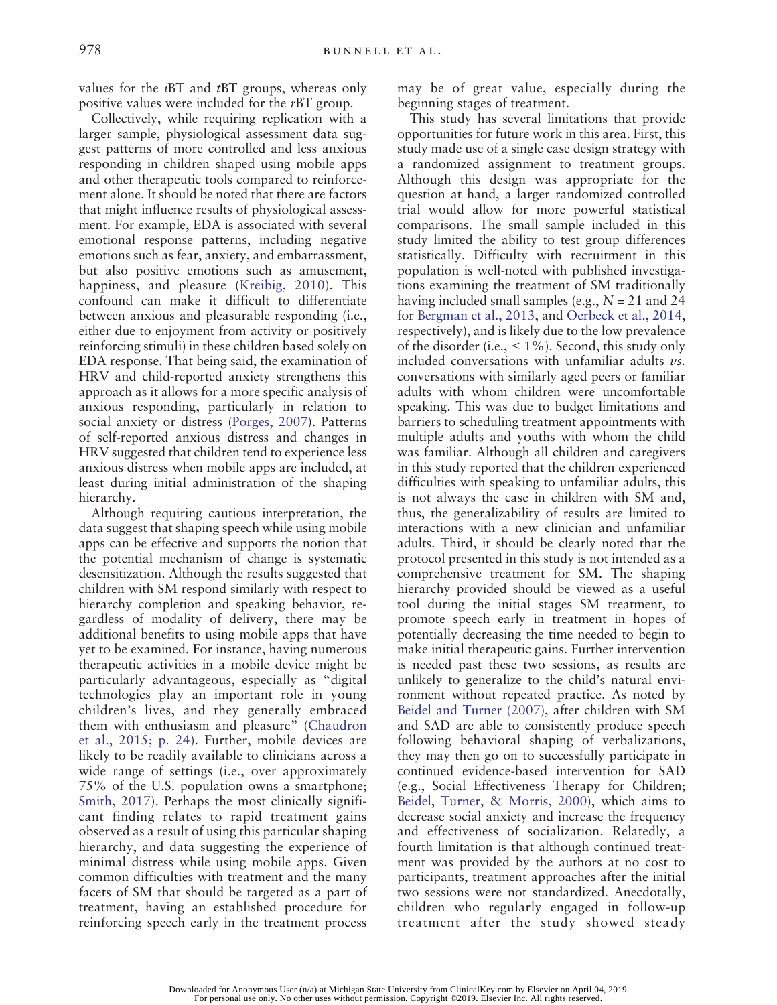values for the iBT and tBT groups, whereas only positive values were included for the rBT group.

Collectively, while requiring replication with a larger sample, physiological assessment data suggest patterns of more controlled and less anxious responding in children shaped using mobile apps and other therapeutic tools compared to reinforcement alone. It should be noted that there are factors that might influence results of physiological assessment. For example, EDA is associated with several emotional response patterns, including negative emotions such as fear, anxiety, and embarrassment, but also positive emotions such as amusement, happiness, and pleasure ([Kreibig, 2010](#page-14-0)). This confound can make it difficult to differentiate between anxious and pleasurable responding (i.e., either due to enjoyment from activity or positively reinforcing stimuli) in these children based solely on EDA response. That being said, the examination of HRV and child-reported anxiety strengthens this approach as it allows for a more specific analysis of anxious responding, particularly in relation to social anxiety or distress [\(Porges, 2007\)](#page-14-0). Patterns of self-reported anxious distress and changes in HRV suggested that children tend to experience less anxious distress when mobile apps are included, at least during initial administration of the shaping hierarchy.

Although requiring cautious interpretation, the data suggest that shaping speech while using mobile apps can be effective and supports the notion that the potential mechanism of change is systematic desensitization. Although the results suggested that children with SM respond similarly with respect to hierarchy completion and speaking behavior, regardless of modality of delivery, there may be additional benefits to using mobile apps that have yet to be examined. For instance, having numerous therapeutic activities in a mobile device might be particularly advantageous, especially as "digital technologies play an important role in young children's lives, and they generally embraced them with enthusiasm and pleasure" ([Chaudron](#page-13-0) [et al., 2015; p. 24](#page-13-0)). Further, mobile devices are likely to be readily available to clinicians across a wide range of settings (i.e., over approximately 75% of the U.S. population owns a smartphone; [Smith, 2017\)](#page-14-0). Perhaps the most clinically significant finding relates to rapid treatment gains observed as a result of using this particular shaping hierarchy, and data suggesting the experience of minimal distress while using mobile apps. Given common difficulties with treatment and the many facets of SM that should be targeted as a part of treatment, having an established procedure for reinforcing speech early in the treatment process

may be of great value, especially during the beginning stages of treatment.

This study has several limitations that provide opportunities for future work in this area. First, this study made use of a single case design strategy with a randomized assignment to treatment groups. Although this design was appropriate for the question at hand, a larger randomized controlled trial would allow for more powerful statistical comparisons. The small sample included in this study limited the ability to test group differences statistically. Difficulty with recruitment in this population is well-noted with published investigations examining the treatment of SM traditionally having included small samples (e.g.,  $N = 21$  and 24 for [Bergman et al., 2013,](#page-13-0) and [Oerbeck et al., 2014](#page-14-0), respectively), and is likely due to the low prevalence of the disorder (i.e.,  $\leq 1\%$ ). Second, this study only included conversations with unfamiliar adults vs. conversations with similarly aged peers or familiar adults with whom children were uncomfortable speaking. This was due to budget limitations and barriers to scheduling treatment appointments with multiple adults and youths with whom the child was familiar. Although all children and caregivers in this study reported that the children experienced difficulties with speaking to unfamiliar adults, this is not always the case in children with SM and, thus, the generalizability of results are limited to interactions with a new clinician and unfamiliar adults. Third, it should be clearly noted that the protocol presented in this study is not intended as a comprehensive treatment for SM. The shaping hierarchy provided should be viewed as a useful tool during the initial stages SM treatment, to promote speech early in treatment in hopes of potentially decreasing the time needed to begin to make initial therapeutic gains. Further intervention is needed past these two sessions, as results are unlikely to generalize to the child's natural environment without repeated practice. As noted by [Beidel and Turner \(2007\)](#page-13-0), after children with SM and SAD are able to consistently produce speech following behavioral shaping of verbalizations, they may then go on to successfully participate in continued evidence-based intervention for SAD (e.g., Social Effectiveness Therapy for Children; [Beidel, Turner, & Morris, 2000\)](#page-13-0), which aims to decrease social anxiety and increase the frequency and effectiveness of socialization. Relatedly, a fourth limitation is that although continued treatment was provided by the authors at no cost to participants, treatment approaches after the initial two sessions were not standardized. Anecdotally, children who regularly engaged in follow-up treatment after the study showed steady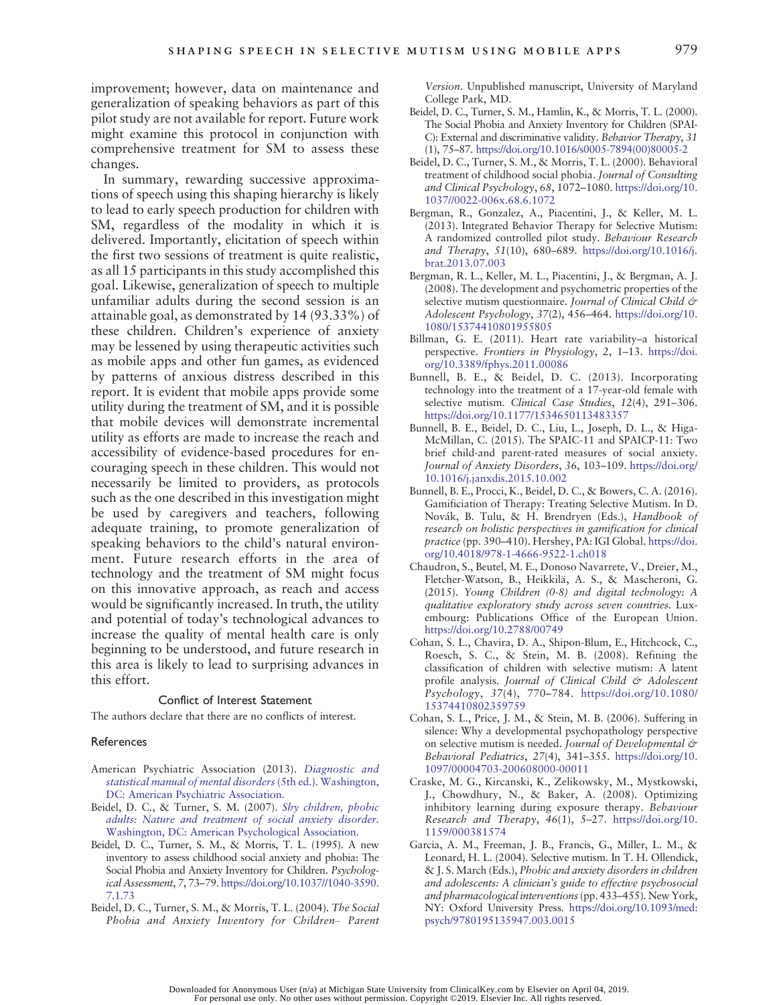<span id="page-13-0"></span>improvement; however, data on maintenance and generalization of speaking behaviors as part of this pilot study are not available for report. Future work might examine this protocol in conjunction with comprehensive treatment for SM to assess these changes.

In summary, rewarding successive approximations of speech using this shaping hierarchy is likely to lead to early speech production for children with SM, regardless of the modality in which it is delivered. Importantly, elicitation of speech within the first two sessions of treatment is quite realistic, as all 15 participants in this study accomplished this goal. Likewise, generalization of speech to multiple unfamiliar adults during the second session is an attainable goal, as demonstrated by 14 (93.33%) of these children. Children's experience of anxiety may be lessened by using therapeutic activities such as mobile apps and other fun games, as evidenced by patterns of anxious distress described in this report. It is evident that mobile apps provide some utility during the treatment of SM, and it is possible that mobile devices will demonstrate incremental utility as efforts are made to increase the reach and accessibility of evidence-based procedures for encouraging speech in these children. This would not necessarily be limited to providers, as protocols such as the one described in this investigation might be used by caregivers and teachers, following adequate training, to promote generalization of speaking behaviors to the child's natural environment. Future research efforts in the area of technology and the treatment of SM might focus on this innovative approach, as reach and access would be significantly increased. In truth, the utility and potential of today's technological advances to increase the quality of mental health care is only beginning to be understood, and future research in this area is likely to lead to surprising advances in this effort.

#### Conflict of Interest Statement

The authors declare that there are no conflicts of interest.

#### References

- American Psychiatric Association (2013). Diagnostic and statistical manual of mental disorders (5th ed.). Washington, DC: American Psychiatric Association.
- Beidel, D. C., & Turner, S. M. (2007). Shy children, phobic adults: Nature and treatment of social anxiety disorder. Washington, DC: American Psychological Association.
- Beidel, D. C., Turner, S. M., & Morris, T. L. (1995). A new inventory to assess childhood social anxiety and phobia: The Social Phobia and Anxiety Inventory for Children. Psychological Assessment, 7, 73–79. https://doi.org/10.1037//1040-3590. 7.1.73
- Beidel, D. C., Turner, S. M., & Morris, T. L. (2004). The Social Phobia and Anxiety Inventory for Children– Parent

Version. Unpublished manuscript, University of Maryland College Park, MD.

- Beidel, D. C., Turner, S. M., Hamlin, K., & Morris, T. L. (2000). The Social Phobia and Anxiety Inventory for Children (SPAI-C): External and discriminative validity. Behavior Therapy, 31 (1), 75–87. https://doi.org/10.1016/s0005-7894(00)80005-2
- Beidel, D. C., Turner, S. M., & Morris, T. L. (2000). Behavioral treatment of childhood social phobia. Journal of Consulting and Clinical Psychology, 68, 1072–1080. https://doi.org/10. 1037//0022-006x.68.6.1072
- Bergman, R., Gonzalez, A., Piacentini, J., & Keller, M. L. (2013). Integrated Behavior Therapy for Selective Mutism: A randomized controlled pilot study. Behaviour Research and Therapy, 51(10), 680–689. https://doi.org/10.1016/j. brat.2013.07.003
- Bergman, R. L., Keller, M. L., Piacentini, J., & Bergman, A. J. (2008). The development and psychometric properties of the selective mutism questionnaire. Journal of Clinical Child & Adolescent Psychology, 37(2), 456–464. https://doi.org/10. 1080/15374410801955805
- Billman, G. E. (2011). Heart rate variability–a historical perspective. Frontiers in Physiology, 2, 1–13. https://doi. org/10.3389/fphys.2011.00086
- Bunnell, B. E., & Beidel, D. C. (2013). Incorporating technology into the treatment of a 17-year-old female with selective mutism. Clinical Case Studies, 12(4), 291-306. https://doi.org/10.1177/1534650113483357
- Bunnell, B. E., Beidel, D. C., Liu, L., Joseph, D. L., & Higa-McMillan, C. (2015). The SPAIC-11 and SPAICP-11: Two brief child-and parent-rated measures of social anxiety. Journal of Anxiety Disorders, 36, 103–109. https://doi.org/ 10.1016/j.janxdis.2015.10.002
- Bunnell, B. E., Procci, K., Beidel, D. C., & Bowers, C. A. (2016). Gamificiation of Therapy: Treating Selective Mutism. In D. Novák, B. Tulu, & H. Brendryen (Eds.), Handbook of research on holistic perspectives in gamification for clinical practice (pp. 390–410). Hershey, PA: IGI Global. https://doi. org/10.4018/978-1-4666-9522-1.ch018
- Chaudron, S., Beutel, M. E., Donoso Navarrete, V., Dreier, M., Fletcher-Watson, B., Heikkilä, A. S., & Mascheroni, G. (2015). Young Children (0-8) and digital technology: A qualitative exploratory study across seven countries. Luxembourg: Publications Office of the European Union. https://doi.org/10.2788/00749
- Cohan, S. L., Chavira, D. A., Shipon-Blum, E., Hitchcock, C., Roesch, S. C., & Stein, M. B. (2008). Refining the classification of children with selective mutism: A latent profile analysis. Journal of Clinical Child & Adolescent Psychology, 37(4), 770–784. https://doi.org/10.1080/ 15374410802359759
- Cohan, S. L., Price, J. M., & Stein, M. B. (2006). Suffering in silence: Why a developmental psychopathology perspective on selective mutism is needed. Journal of Developmental  $\phi$ Behavioral Pediatrics, 27(4), 341–355. https://doi.org/10. 1097/00004703-200608000-00011
- Craske, M. G., Kircanski, K., Zelikowsky, M., Mystkowski, J., Chowdhury, N., & Baker, A. (2008). Optimizing inhibitory learning during exposure therapy. Behaviour Research and Therapy, 46(1), 5–27. https://doi.org/10. 1159/000381574
- Garcia, A. M., Freeman, J. B., Francis, G., Miller, L. M., & Leonard, H. L. (2004). Selective mutism. In T. H. Ollendick, & J. S. March (Eds.), Phobic and anxiety disorders in children and adolescents: A clinician's guide to effective psychosocial and pharmacological interventions(pp. 433–455). New York, NY: Oxford University Press. https://doi.org/10.1093/med: psych/9780195135947.003.0015